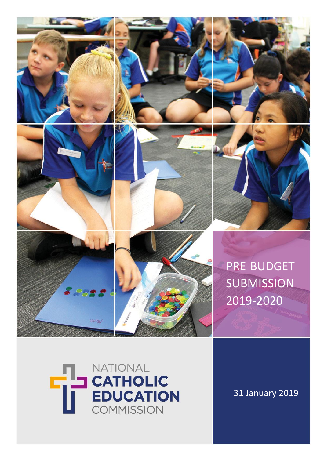















# **THE CATHOLIC**<br> **EDUCATION**<br>
EDUCATION NATIONAL **EDUCATION COMMISSION**

31 January 2019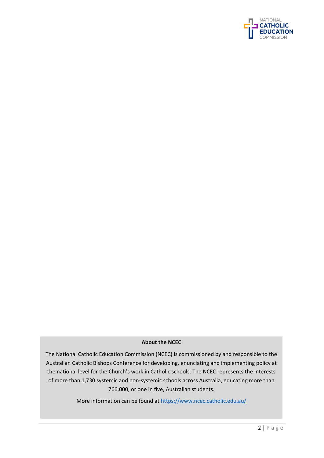

## **About the NCEC**

The National Catholic Education Commission (NCEC) is commissioned by and responsible to the Australian Catholic Bishops Conference for developing, enunciating and implementing policy at the national level for the Church's work in Catholic schools. The NCEC represents the interests of more than 1,730 systemic and non-systemic schools across Australia, educating more than 766,000, or one in five, Australian students.

More information can be found a[t https://www.ncec.catholic.edu.au/](https://www.ncec.catholic.edu.au/)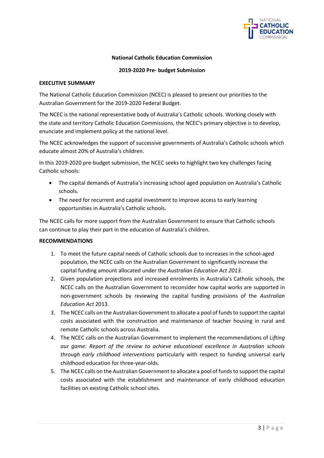

## **National Catholic Education Commission**

#### **2019-2020 Pre- budget Submission**

#### **EXECUTIVE SUMMARY**

The National Catholic Education Commission (NCEC) is pleased to present our priorities to the Australian Government for the 2019-2020 Federal Budget.

The NCEC is the national representative body of Australia's Catholic schools. Working closely with the state and territory Catholic Education Commissions, the NCEC's primary objective is to develop, enunciate and implement policy at the national level.

The NCEC acknowledges the support of successive governments of Australia's Catholic schools which educate almost 20% of Australia's children.

In this 2019-2020 pre-budget submission, the NCEC seeks to highlight two key challenges facing Catholic schools:

- The capital demands of Australia's increasing school aged population on Australia's Catholic schools.
- The need for recurrent and capital investment to improve access to early learning opportunities in Australia's Catholic schools.

The NCEC calls for more support from the Australian Government to ensure that Catholic schools can continue to play their part in the education of Australia's children.

### **RECOMMENDATIONS**

- 1. To meet the future capital needs of Catholic schools due to increases in the school-aged population, the NCEC calls on the Australian Government to significantly increase the capital funding amount allocated under the *Australian Education Act 2013.*
- 2. Given population projections and increased enrolments in Australia's Catholic schools, the NCEC calls on the Australian Government to reconsider how capital works are supported in non-government schools by reviewing the capital funding provisions of the *Australian Education Act* 2013.
- 3. The NCEC calls on the Australian Government to allocate a pool of funds to support the capital costs associated with the construction and maintenance of teacher housing in rural and remote Catholic schools across Australia.
- 4. The NCEC calls on the Australian Government to implement the recommendations of *Lifting our game: Report of the review to achieve educational excellence in Australian schools through early childhood interventions* particularly with respect to funding universal early childhood education for three-year-olds.
- 5. The NCEC calls on the Australian Government to allocate a pool of funds to support the capital costs associated with the establishment and maintenance of early childhood education facilities on existing Catholic school sites.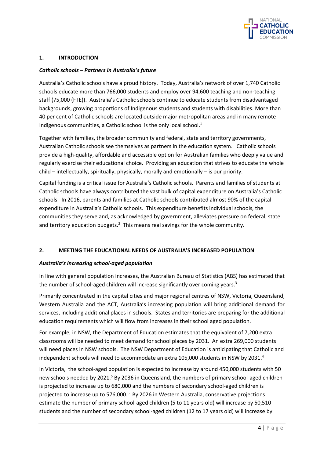

## **1. INTRODUCTION**

## *Catholic schools – Partners in Australia's future*

Australia's Catholic schools have a proud history. Today, Australia's network of over 1,740 Catholic schools educate more than 766,000 students and employ over 94,600 teaching and non-teaching staff (75,000 (FTE)). Australia's Catholic schools continue to educate students from disadvantaged backgrounds, growing proportions of Indigenous students and students with disabilities. More than 40 per cent of Catholic schools are located outside major metropolitan areas and in many remote Indigenous communities, a Catholic school is the only local school.<sup>1</sup>

Together with families, the broader community and federal, state and territory governments, Australian Catholic schools see themselves as partners in the education system. Catholic schools provide a high-quality, affordable and accessible option for Australian families who deeply value and regularly exercise their educational choice. Providing an education that strives to educate the whole child – intellectually, spiritually, physically, morally and emotionally – is our priority.

Capital funding is a critical issue for Australia's Catholic schools. Parents and families of students at Catholic schools have always contributed the vast bulk of capital expenditure on Australia's Catholic schools. In 2016, parents and families at Catholic schools contributed almost 90% of the capital expenditure in Australia's Catholic schools. This expenditure benefits individual schools, the communities they serve and, as acknowledged by government, alleviates pressure on federal, state and territory education budgets. $^2$  This means real savings for the whole community.

## **2. MEETING THE EDUCATIONAL NEEDS OF AUSTRALIA'S INCREASED POPULATION**

### *Australia's increasing school-aged population*

In line with general population increases, the Australian Bureau of Statistics (ABS) has estimated that the number of school-aged children will increase significantly over coming years.<sup>3</sup>

Primarily concentrated in the capital cities and major regional centres of NSW, Victoria, Queensland, Western Australia and the ACT, Australia's increasing population will bring additional demand for services, including additional places in schools. States and territories are preparing for the additional education requirements which will flow from increases in their school aged population.

For example, in NSW, the Department of Education estimates that the equivalent of 7,200 extra classrooms will be needed to meet demand for school places by 2031. An extra 269,000 students will need places in NSW schools. The NSW Department of Education is anticipating that Catholic and independent schools will need to accommodate an extra 105,000 students in NSW by 2031. 4

In Victoria, the school-aged population is expected to increase by around 450,000 students with 50 new schools needed by 2021.<sup>5</sup> By 2036 in Queensland, the numbers of primary school-aged children is projected to increase up to 680,000 and the numbers of secondary school-aged children is projected to increase up to 576,000.<sup>6</sup> By 2026 in Western Australia, conservative projections estimate the number of primary school-aged children (5 to 11 years old) will increase by 50,510 students and the number of secondary school-aged children (12 to 17 years old) will increase by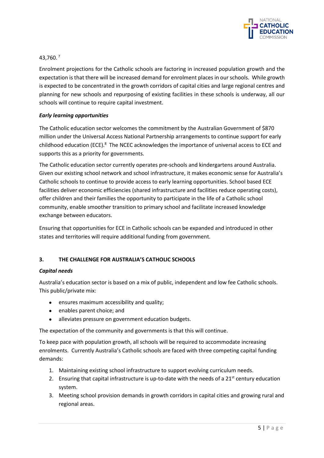

## 43,760. <sup>7</sup>

Enrolment projections for the Catholic schools are factoring in increased population growth and the expectation is that there will be increased demand for enrolment places in our schools. While growth is expected to be concentrated in the growth corridors of capital cities and large regional centres and planning for new schools and repurposing of existing facilities in these schools is underway, all our schools will continue to require capital investment.

## *Early learning opportunities*

The Catholic education sector welcomes the commitment by the Australian Government of \$870 million under the Universal Access National Partnership arrangements to continue support for early childhood education (ECE).<sup>8</sup> The NCEC acknowledges the importance of universal access to ECE and supports this as a priority for governments.

The Catholic education sector currently operates pre-schools and kindergartens around Australia. Given our existing school network and school infrastructure, it makes economic sense for Australia's Catholic schools to continue to provide access to early learning opportunities. School based ECE facilities deliver economic efficiencies (shared infrastructure and facilities reduce operating costs), offer children and their families the opportunity to participate in the life of a Catholic school community, enable smoother transition to primary school and facilitate increased knowledge exchange between educators.

Ensuring that opportunities for ECE in Catholic schools can be expanded and introduced in other states and territories will require additional funding from government.

## **3. THE CHALLENGE FOR AUSTRALIA'S CATHOLIC SCHOOLS**

### *Capital needs*

Australia's education sector is based on a mix of public, independent and low fee Catholic schools. This public/private mix:

- ensures maximum accessibility and quality;
- enables parent choice; and
- alleviates pressure on government education budgets.

The expectation of the community and governments is that this will continue.

To keep pace with population growth, all schools will be required to accommodate increasing enrolments. Currently Australia's Catholic schools are faced with three competing capital funding demands:

- 1. Maintaining existing school infrastructure to support evolving curriculum needs.
- 2. Ensuring that capital infrastructure is up-to-date with the needs of a  $21<sup>st</sup>$  century education system.
- 3. Meeting school provision demands in growth corridors in capital cities and growing rural and regional areas.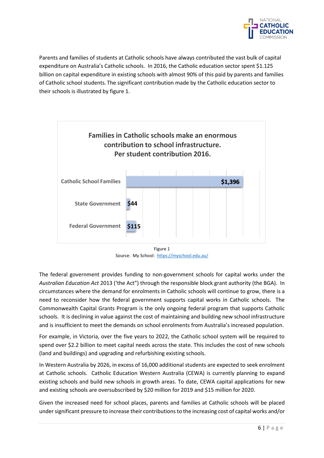

Parents and families of students at Catholic schools have always contributed the vast bulk of capital expenditure on Australia's Catholic schools. In 2016, the Catholic education sector spent \$1.125 billion on capital expenditure in existing schools with almost 90% of this paid by parents and families of Catholic school students. The significant contribution made by the Catholic education sector to their schools is illustrated by figure 1.



Figure 1 Source: My School:<https://myschool.edu.au/>

The federal government provides funding to non-government schools for capital works under the *Australian Education Act* 2013 ('the Act") through the responsible block grant authority (the BGA). In circumstances where the demand for enrolments in Catholic schools will continue to grow, there is a need to reconsider how the federal government supports capital works in Catholic schools. The Commonwealth Capital Grants Program is the only ongoing federal program that supports Catholic schools. It is declining in value against the cost of maintaining and building new school infrastructure and is insufficient to meet the demands on school enrolments from Australia's increased population.

For example, in Victoria, over the five years to 2022, the Catholic school system will be required to spend over \$2.2 billion to meet capital needs across the state. This includes the cost of new schools (land and buildings) and upgrading and refurbishing existing schools.

In Western Australia by 2026, in excess of 16,000 additional students are expected to seek enrolment at Catholic schools. Catholic Education Western Australia (CEWA) is currently planning to expand existing schools and build new schools in growth areas. To date, CEWA capital applications for new and existing schools are oversubscribed by \$20 million for 2019 and \$15 million for 2020.

Given the increased need for school places, parents and families at Catholic schools will be placed under significant pressure to increase their contributions to the increasing cost of capital works and/or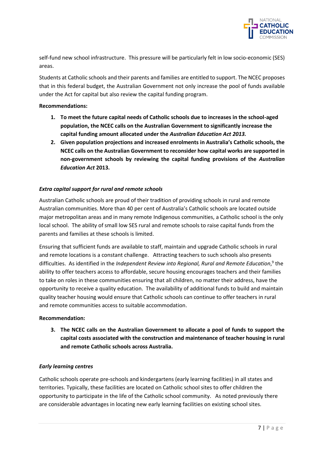

self-fund new school infrastructure. This pressure will be particularly felt in low socio-economic (SES) areas.

Students at Catholic schools and their parents and families are entitled to support. The NCEC proposes that in this federal budget, the Australian Government not only increase the pool of funds available under the Act for capital but also review the capital funding program.

## **Recommendations:**

- **1. To meet the future capital needs of Catholic schools due to increases in the school-aged population, the NCEC calls on the Australian Government to significantly increase the capital funding amount allocated under the** *Australian Education Act 2013.*
- **2. Given population projections and increased enrolments in Australia's Catholic schools, the NCEC calls on the Australian Government to reconsider how capital works are supported in non-government schools by reviewing the capital funding provisions of the** *Australian Education Act* **2013.**

## *Extra capital support for rural and remote schools*

Australian Catholic schools are proud of their tradition of providing schools in rural and remote Australian communities. More than 40 per cent of Australia's Catholic schools are located outside major metropolitan areas and in many remote Indigenous communities, a Catholic school is the only local school. The ability of small low SES rural and remote schools to raise capital funds from the parents and families at these schools is limited.

Ensuring that sufficient funds are available to staff, maintain and upgrade Catholic schools in rural and remote locations is a constant challenge. Attracting teachers to such schools also presents difficulties. As identified in the *Independent Review into Regional, Rural and Remote Education*, 9 the ability to offer teachers access to affordable, secure housing encourages teachers and their families to take on roles in these communities ensuring that all children, no matter their address, have the opportunity to receive a quality education. The availability of additional funds to build and maintain quality teacher housing would ensure that Catholic schools can continue to offer teachers in rural and remote communities access to suitable accommodation.

### **Recommendation:**

**3. The NCEC calls on the Australian Government to allocate a pool of funds to support the capital costs associated with the construction and maintenance of teacher housing in rural and remote Catholic schools across Australia.** 

### *Early learning centres*

Catholic schools operate pre-schools and kindergartens (early learning facilities) in all states and territories. Typically, these facilities are located on Catholic school sites to offer children the opportunity to participate in the life of the Catholic school community. As noted previously there are considerable advantages in locating new early learning facilities on existing school sites.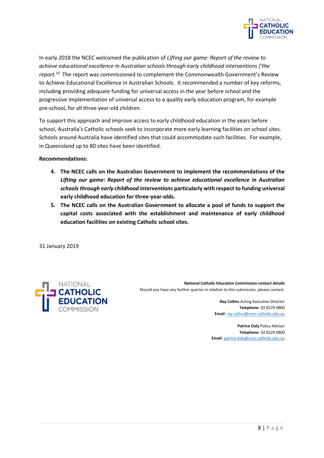

In early 2018 the NCEC welcomed the publication of *Lifting our game: Report of the review to achieve educational excellence in Australian schools through early childhood interventions ('the report.<sup>10</sup>* The report was commissioned to complement the Commonwealth Government's Review to Achieve Educational Excellence in Australian Schools. It recommended a number of key reforms, including providing adequate funding for universal access in the year before school and the progressive implementation of universal access to a quality early education program, for example pre-school, for all three-year-old children.

To support this approach and improve access to early childhood education in the years before school, Australia's Catholic schools seek to incorporate more early learning facilities on school sites. Schools around Australia have identified sites that could accommodate such facilities. For example, in Queensland up to 80 sites have been identified.

### **Recommendations:**

- **4. The NCEC calls on the Australian Government to implement the recommendations of the**  *Lifting our game: Report of the review to achieve educational excellence in Australian schools through early childhood interventions* **particularly with respect to funding universal early childhood education for three-year-olds.**
- **5. The NCEC calls on the Australian Government to allocate a pool of funds to support the capital costs associated with the establishment and maintenance of early childhood education facilities on existing Catholic school sites.**

31 January 2019



**National Catholic Education Commission contact details** Should you have any further queries in relation to this submission, please contact:

> **Ray Collins** Acting Executive Director **Telephone**: 02 8229 0800 **Email**[: ray.collins@ncec.catholic.edu.au](mailto:ray.collins@ncec.catholic.edu.au)

**Patrice Daly** Policy Advisor **Telephone**: 02 8229 0800 **Email**[: patrice.daly@ncec.catholic.edu.au](mailto:patrice.daly@ncec.catholic.edu.au)